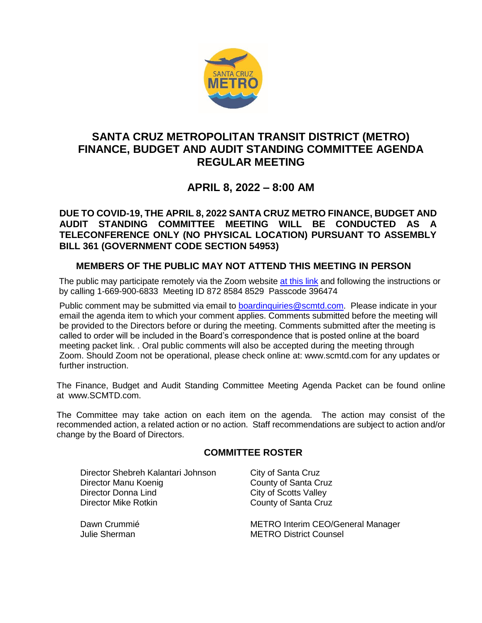

# **SANTA CRUZ METROPOLITAN TRANSIT DISTRICT (METRO) FINANCE, BUDGET AND AUDIT STANDING COMMITTEE AGENDA REGULAR MEETING**

# **APRIL 8, 2022 – 8:00 AM**

## **DUE TO COVID-19, THE APRIL 8, 2022 SANTA CRUZ METRO FINANCE, BUDGET AND AUDIT STANDING COMMITTEE MEETING WILL BE CONDUCTED AS A TELECONFERENCE ONLY (NO PHYSICAL LOCATION) PURSUANT TO ASSEMBLY BILL 361 (GOVERNMENT CODE SECTION 54953)**

## **MEMBERS OF THE PUBLIC MAY NOT ATTEND THIS MEETING IN PERSON**

The public may participate remotely via the Zoom website [at this link](https://us02web.zoom.us/j/87285848529?pwd=YmpTSHAvL2Z3RFlHYWNpb1BMbXV4Zz09) and following the instructions or by calling 1-669-900-6833 Meeting ID 872 8584 8529 Passcode 396474

Public comment may be submitted via email to [boardinquiries@scmtd.com.](mailto:boardinquiries@scmtd.com) Please indicate in your email the agenda item to which your comment applies. Comments submitted before the meeting will be provided to the Directors before or during the meeting. Comments submitted after the meeting is called to order will be included in the Board's correspondence that is posted online at the board meeting packet link. . Oral public comments will also be accepted during the meeting through Zoom. Should Zoom not be operational, please check online at: www.scmtd.com for any updates or further instruction.

The Finance, Budget and Audit Standing Committee Meeting Agenda Packet can be found online at [www.SCMTD.com.](http://www.scmtd.com/)

The Committee may take action on each item on the agenda. The action may consist of the recommended action, a related action or no action. Staff recommendations are subject to action and/or change by the Board of Directors.

## **COMMITTEE ROSTER**

Director Shebreh Kalantari Johnson City of Santa Cruz Director Manu Koenig County of Santa Cruz Director Donna Lind<br>
Director Mike Rotkin<br>
County of Santa Cru

County of Santa Cruz

Dawn Crummié **METRO Interim CEO/General Manager** Julie Sherman METRO District Counsel